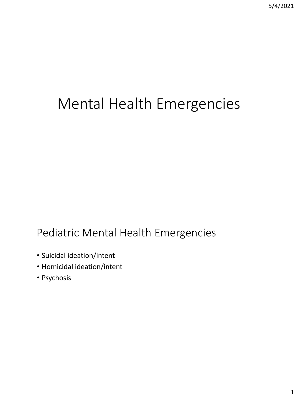# Mental Health Emergencies

## Pediatric Mental Health Emergencies

- Suicidal ideation/intent
- Homicidal ideation/intent
- Psychosis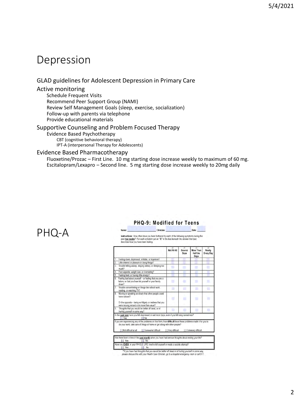### Depression

#### GLAD guidelines for Adolescent Depression in Primary Care

#### Active monitoring

Schedule Frequent Visits Recommend Peer Support Group (NAMI) Review Self Management Goals (sleep, exercise, socialization) Follow-up with parents via telephone Provide educational materials

Name:

#### Supportive Counseling and Problem Focused Therapy

Evidence Based Psychotherapy CBT (cognitive behavioral therapy) IPT-A (interpersonal Therapy for Adolescents)

#### Evidence Based Pharmacotherapy

Fluoxetine/Prozac – First Line. 10 mg starting dose increase weekly to maximum of 60 mg. Escitalopram/Lexapro – Second line. 5 mg starting dose increase weekly to 20mg daily

### PHQ-A

#### PHQ-9: Modified for Teens

Clinician: Instructions: How often have you been bothered by each of the following symptoms during the past two weeks? For each symptom put an "X" in the box beneath the answer that best describes how you have been feeling.

|    |                                                                                                                                                                                                                                                                                                                                                     | m<br>Not At All   | (0)<br>Several<br>Days | $\Omega$<br><b>More Than</b><br><b>Half the</b><br>Days | 731<br>Nearly<br><b>Every Day</b> |
|----|-----------------------------------------------------------------------------------------------------------------------------------------------------------------------------------------------------------------------------------------------------------------------------------------------------------------------------------------------------|-------------------|------------------------|---------------------------------------------------------|-----------------------------------|
|    | Feeling down, depressed, irritable, or hopeless?                                                                                                                                                                                                                                                                                                    |                   |                        |                                                         |                                   |
|    | Little interest or pleasure in doing things?                                                                                                                                                                                                                                                                                                        |                   |                        |                                                         |                                   |
| 3. | Trouble falling asleep, staying asleep, or sleeping too<br>much?                                                                                                                                                                                                                                                                                    |                   |                        |                                                         |                                   |
| 4  | Poor appetite, weight loss, or overeating?                                                                                                                                                                                                                                                                                                          |                   |                        |                                                         |                                   |
| 5  | Feeling tired, or having little energy?                                                                                                                                                                                                                                                                                                             |                   |                        |                                                         |                                   |
| 6. | Feeling bad about yourself - or feeling that you are a<br>failure, or that you have let yourself or your family<br>down?                                                                                                                                                                                                                            |                   |                        |                                                         |                                   |
|    | Trouble concentrating on things like school work,<br>reading, or watching TV?                                                                                                                                                                                                                                                                       |                   |                        |                                                         |                                   |
| 8. | Moving or speaking so slowly that other people could<br>have noticed?<br>Or the opposite - being so fidgety or restless that you<br>were moving around a lot more than usual?                                                                                                                                                                       |                   |                        |                                                         |                                   |
| 9  | Thoughts that you would be better off dead, or of<br>hurting yourself in some way?                                                                                                                                                                                                                                                                  |                   |                        |                                                         |                                   |
|    | In the past year have you felt depressed or sad most days, even if you felt okay sometimes?<br>I I Yes<br><b>I</b> No                                                                                                                                                                                                                               |                   |                        |                                                         |                                   |
|    | If you are experiencing any of the problems on this form, how difficult have these problems made it for you to<br>do your work, take care of things at home or get along with other people?<br>I Not difficult at all<br>1 Somewhat difficult<br>Has there been a time in the past month when you have had serious thoughts about ending your life? | Il Very difficult |                        | 11 Extremely difficult                                  |                                   |
|    | No.<br>Yes                                                                                                                                                                                                                                                                                                                                          |                   |                        |                                                         |                                   |
|    | Have you EVER, in your WHOLE LIFE, tried to kill yourself or made a suicide attempt?<br>1 Yes<br>No.                                                                                                                                                                                                                                                |                   |                        |                                                         |                                   |

\*\*If you have had thoughts that you would be better off dead or of hurting yourself in some way.<br>please discuss this with your Health Care Clinician, go to a hospital emergency room or call 911.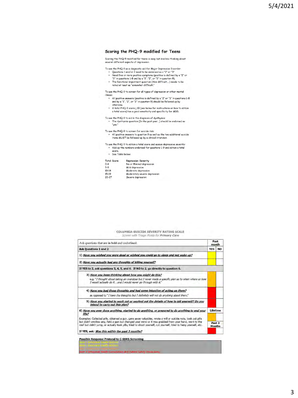#### Scoring the PHQ-9 modified for Teens

Scoring the PHQ-9 modified for teens is easy but involves thinking about<br>several different aspects of depression.

To use the PHQ-9 as a diagnostic aid for Major Depressive Disorder:<br>• Questions 1 and/or 2 need to be endorsed as a "2" or "3"

- 
- 
- Questions a manor of need to be enablesed as a  $\epsilon$  or a<br>Need five or more positive symptoms (positive is defined by a "2" or<br>"3" in questions 1-8 and by a "1", "2", or "3" in question 9).<br>The functional impairment ques

To use the PHQ-9 to screen for all types of depression or other mental

- The state in the control of the state of the control of the method.<br>
All positive is defined by a "2" or "3" in questions 1-8<br>
and by a "1", "2", or "3" in question 9) should be followed up by<br>
interview.
	- A total PHQ-9 score > 10 (see below for instructions on how to obtain<br>a total score) has a good sensitivity and specificity for MDD.

To use the PHQ-9 to aid in the diagnosis of dysthymia:<br>• The dysthymia question (In the past year...) should be endorsed as<br>"yes."

To use the PHQ-9 to screen for suicide risk: sex and the matter of the district of the sex and the two additional suicide<br>The All positive answers to question 9 as well as the two additional suicide<br>items MUST be followed up by a clinical interview.

To use the PHQ-9 to obtain a total score and assess depressive severity:<br>Add up the numbers endorsed for questions 1-9 and obtain a total

score.<br>• See Table below:

| <b>Total Score</b> | <b>Depression Severity</b> |
|--------------------|----------------------------|
| $0 - 4$            | No or Minimal depression   |
| $5 - 9$            | Mild depression            |
| $10 - 14$          | Moderate depression        |

| .         | Hings are achi contain       |
|-----------|------------------------------|
| $15 - 19$ | Moderately severe depression |
| $20 - 27$ | Severe depression            |
|           |                              |

#### COLUMBIA-SUICIDE SEVERITY RATING SCALE Screen with Triage Points for Primary Care

| Ask questions that are in bold and underlined.                                                                                                                                                                              | Past<br>month                      |           |
|-----------------------------------------------------------------------------------------------------------------------------------------------------------------------------------------------------------------------------|------------------------------------|-----------|
| <b>Ask Questions 1 and 2</b><br><b>YES</b>                                                                                                                                                                                  |                                    | <b>NO</b> |
| 1) Have you wished you were dead or wished you could go to sleep and not wake up?                                                                                                                                           |                                    |           |
| 2) Have you actually had any thoughts of killing yourself?                                                                                                                                                                  |                                    |           |
| If YES to 2, ask questions 3, 4, 5, and 6. If NO to 2, go directly to question 6.                                                                                                                                           |                                    |           |
| 3) Have you been thinking about how you might do this?<br>e.g. "I thought about taking an overdose but I never made a specific plan as to when where or how<br>I would actually do itand I would never go through with it." |                                    |           |
| 4) Have you had these thoughts and had some intention of acting on them?<br>as opposed to "I have the thoughts but I definitely will not do anything about them."                                                           |                                    |           |
| 5) Have you started to work out or worked out the details of how to kill yourself? Do you<br>intend to carry out this plan?                                                                                                 |                                    |           |
| 6) Have you ever done anything, started to do anything, or prepared to do anything to end your<br>life?<br>Examples: Collected pills, obtained a gun, gave away valuables, wrote a will or suicide note, took out pills     | Lifetime                           |           |
| but didn't swallow any, held a gun but changed your mind or it was grabbed from your hand, went to the<br>roof but didn't jump; or actually took pills, tried to shoot yourself, cut yourself, tried to hang yourself, etc. | Past <sub>3</sub><br><b>Months</b> |           |
| If YES, ask: Was this within the past 3 months?                                                                                                                                                                             |                                    |           |

.<br>In 4 Behavioral Health Consultation and Patient Safety Preca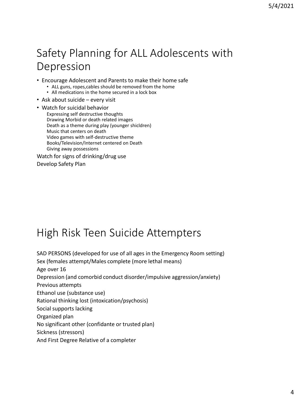## Safety Planning for ALL Adolescents with Depression

- Encourage Adolescent and Parents to make their home safe
	- ALL guns, ropes,cables should be removed from the home
	- All medications in the home secured in a lock box
- Ask about suicide every visit
- Watch for suicidal behavior Expressing self destructive thoughts Drawing Morbid or death related images Death as a theme during play (younger shicldren) Music that centers on death Video games with self-destructive theme Books/Television/Internet centered on Death Giving away possessions

Watch for signs of drinking/drug use Develop Safety Plan

## High Risk Teen Suicide Attempters

SAD PERSONS (developed for use of all ages in the Emergency Room setting) Sex (females attempt/Males complete (more lethal means) Age over 16 Depression (and comorbid conduct disorder/impulsive aggression/anxiety) Previous attempts Ethanol use (substance use) Rational thinking lost (intoxication/psychosis) Social supports lacking Organized plan No significant other (confidante or trusted plan) Sickness (stressors) And First Degree Relative of a completer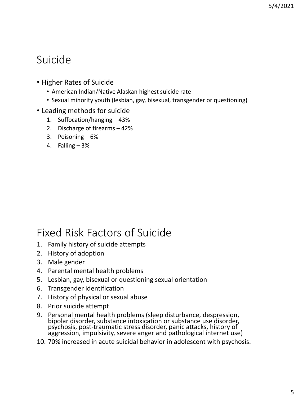### Suicide

- Higher Rates of Suicide
	- American Indian/Native Alaskan highest suicide rate
	- Sexual minority youth (lesbian, gay, bisexual, transgender or questioning)
- Leading methods for suicide
	- 1. Suffocation/hanging 43%
	- 2. Discharge of firearms 42%
	- 3. Poisoning 6%
	- 4. Falling 3%

### Fixed Risk Factors of Suicide

- 1. Family history of suicide attempts
- 2. History of adoption
- 3. Male gender
- 4. Parental mental health problems
- 5. Lesbian, gay, bisexual or questioning sexual orientation
- 6. Transgender identification
- 7. History of physical or sexual abuse
- 8. Prior suicide attempt
- 9. Personal mental health problems (sleep disturbance, despression, bipolar disorder, substance intoxication or substance use disorder, psychosis, post-traumatic stress disorder, panic attacks, history of aggression, impulsivity, severe anger and pathological internet use)
- 10. 70% increased in acute suicidal behavior in adolescent with psychosis.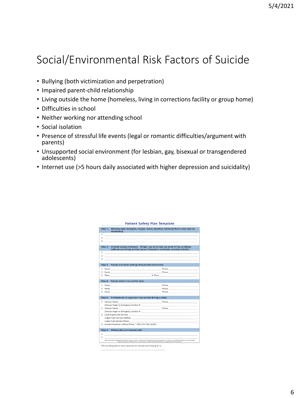## Social/Environmental Risk Factors of Suicide

- Bullying (both victimization and perpetration)
- Impaired parent-child relationship
- Living outside the home (homeless, living in corrections facility or group home)
- Difficulties in school
- Neither working nor attending school
- Social isolation
- Presence of stressful life events (legal or romantic difficulties/argument with parents)
- Unsupported social environment (for lesbian, gay, bisexual or transgendered adolescents)
- Internet use (>5 hours daily associated with higher depression and suicidality)

| 2.<br>з.<br>Step 2:<br>1.<br>$\overline{3}$ . | $\mathbf{1} \equiv \mathbf{1} \equiv \mathbf{1} \equiv \mathbf{1}$<br>$\mathbf{Z}$ , the contract of the contract of the contract of the contract of the contract of the contract of the contract of the contract of the contract of the contract of the contract of the contract of the contract of th | Internal coping strategies - Things I can do to take my mind off my problems<br>without contacting another person (relaxation technique, physical activity):                       |
|-----------------------------------------------|---------------------------------------------------------------------------------------------------------------------------------------------------------------------------------------------------------------------------------------------------------------------------------------------------------|------------------------------------------------------------------------------------------------------------------------------------------------------------------------------------|
|                                               |                                                                                                                                                                                                                                                                                                         |                                                                                                                                                                                    |
|                                               |                                                                                                                                                                                                                                                                                                         |                                                                                                                                                                                    |
|                                               |                                                                                                                                                                                                                                                                                                         |                                                                                                                                                                                    |
|                                               |                                                                                                                                                                                                                                                                                                         |                                                                                                                                                                                    |
|                                               |                                                                                                                                                                                                                                                                                                         |                                                                                                                                                                                    |
|                                               |                                                                                                                                                                                                                                                                                                         |                                                                                                                                                                                    |
|                                               |                                                                                                                                                                                                                                                                                                         |                                                                                                                                                                                    |
| Step 3:                                       | People and social settings that provide distraction:                                                                                                                                                                                                                                                    |                                                                                                                                                                                    |
|                                               | 1. Name and the state of the state of the state of the state of the state of the state of the state of the state of the state of the state of the state of the state of the state of the state of the state of the state of th                                                                          | Phone                                                                                                                                                                              |
| 2. Name                                       |                                                                                                                                                                                                                                                                                                         | Phone                                                                                                                                                                              |
| 3. Place                                      |                                                                                                                                                                                                                                                                                                         | 4. Place                                                                                                                                                                           |
| Step 4:                                       | People whom I can ask for help:                                                                                                                                                                                                                                                                         |                                                                                                                                                                                    |
| 1. Name                                       |                                                                                                                                                                                                                                                                                                         | Phone                                                                                                                                                                              |
|                                               | 2. Name and the state of the state of the state of the state of the state of the state of the state of the state of the state of the state of the state of the state of the state of the state of the state of the state of th                                                                          | Phone                                                                                                                                                                              |
| 3. Name                                       |                                                                                                                                                                                                                                                                                                         | Phone                                                                                                                                                                              |
| Step 5:                                       | Professionals or agencies I can contact during a crisis:                                                                                                                                                                                                                                                |                                                                                                                                                                                    |
| 1. Clinician Name                             |                                                                                                                                                                                                                                                                                                         | Phone                                                                                                                                                                              |
|                                               | Clinician Pager or Emergency Contact #                                                                                                                                                                                                                                                                  |                                                                                                                                                                                    |
| 2. Clinician Name                             |                                                                                                                                                                                                                                                                                                         | Phone                                                                                                                                                                              |
|                                               | Clinician Pager or Emergency Contact #                                                                                                                                                                                                                                                                  |                                                                                                                                                                                    |
|                                               | 3. Local Urgent Care Services                                                                                                                                                                                                                                                                           |                                                                                                                                                                                    |
|                                               | <b>Urgent Care Services Address</b>                                                                                                                                                                                                                                                                     |                                                                                                                                                                                    |
|                                               | Urgent Care Services Phone                                                                                                                                                                                                                                                                              |                                                                                                                                                                                    |
|                                               | 4. Suicide Prevention Lifeline Phone: 1-800-273-TALK (8255)                                                                                                                                                                                                                                             |                                                                                                                                                                                    |
|                                               | Step 6: Making the environment safe:                                                                                                                                                                                                                                                                    |                                                                                                                                                                                    |
| 1.777                                         |                                                                                                                                                                                                                                                                                                         |                                                                                                                                                                                    |
| 2.                                            |                                                                                                                                                                                                                                                                                                         |                                                                                                                                                                                    |
|                                               |                                                                                                                                                                                                                                                                                                         | Safety Plan Therepies @2008 Barbara Stanley and Gregory E. Brown, in reported with the express permission of the sathors. No portion of the Safety Plan Template may be reproduced |

#### $0.45 - 4.6$   $0.4 - 0.06$   $0.07 - 0.06$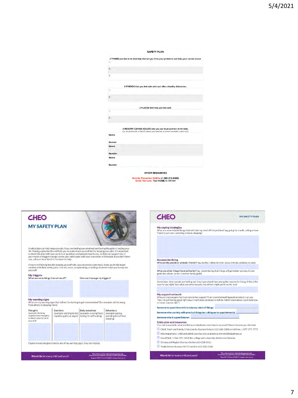#### **SAFETY PLAN**

| ī.               |                                                                                                                                                          |
|------------------|----------------------------------------------------------------------------------------------------------------------------------------------------------|
|                  |                                                                                                                                                          |
| $\overline{2}$ : |                                                                                                                                                          |
|                  |                                                                                                                                                          |
| 3:               |                                                                                                                                                          |
|                  | 2 FRIENDS that you feel safe with and offer a healthy distraction.                                                                                       |
| 12               |                                                                                                                                                          |
|                  |                                                                                                                                                          |
| $2-$             |                                                                                                                                                          |
|                  |                                                                                                                                                          |
|                  |                                                                                                                                                          |
|                  | 2 PLACES that help you feel safe.                                                                                                                        |
| 15               |                                                                                                                                                          |
| $2^{\circ}$      |                                                                                                                                                          |
|                  |                                                                                                                                                          |
|                  |                                                                                                                                                          |
|                  | 3 HEALTHY CARING ADULTS who you can trust and turn to for help.<br>(i.e. an aunt/uncle, a friend's parent, your teacher, a school counselor, coach etc.) |
| Name:            |                                                                                                                                                          |
| Number           |                                                                                                                                                          |
| Name:            |                                                                                                                                                          |
| Number:          |                                                                                                                                                          |
|                  |                                                                                                                                                          |
|                  |                                                                                                                                                          |
| Name:            |                                                                                                                                                          |

**OTHER RESOURCES** 

Suicide Prevention Hotline (1-800-273-8255)<br>Crisis Text Line: Text HOME to 741741

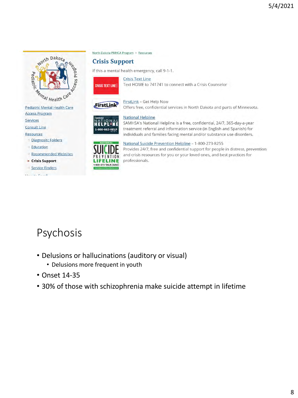

**Access Program** 

Services

**Consult Line** 

Resources

- Diagnositc Folders
- **Education**
- Recommended Websites
- Crisis Support
- Service Finders

فالمناوح مواسدانا



#### **Crisis Support**

If this a mental health emergency, call 9-1-1.



**Crisis Text Line** Text HOME to 741741 to connect with a Crisis Counselor



**FirstLink - Get Help Now** Offers free, confidential services in North Dakota and parts of Minnesota.



**National Helpline** 

SAMHSA's National Helpline is a free, confidential, 24/7, 365-day-a-year treatment referral and information service (in English and Spanish) for individuals and families facing mental and/or substance use disorders.



National Suicide Prevention Helpline - 1-800-273-8255

Provides 24/7, free and confidential support for people in distress, prevention and crisis resources for you or your loved ones, and best practices for professionals.

## Psychosis

- Delusions or hallucinations (auditory or visual)
	- Delusions more frequent in youth
- Onset 14-35
- 30% of those with schizophrenia make suicide attempt in lifetime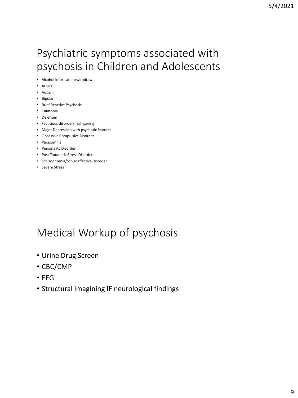### Psychiatric symptoms associated with psychosis in Children and Adolescents

- Alcohol intoxication/withdrawl
- ADHD
- Autism
- Bipolar
- Brief Reactive Psychosis
- Catatonia
- Delerium
- Factitious disorder/malingering
- Major Depression with psychotic features
- Obsessive Compulsive Disorder
- Parasomnia
- Personality Disorder
- Post Traumatic Stress Disorder
- Schizophrenia/Schizoaffective Disorder
- Severe Stress

### Medical Workup of psychosis

- Urine Drug Screen
- CBC/CMP
- EEG
- Structural imagining IF neurological findings